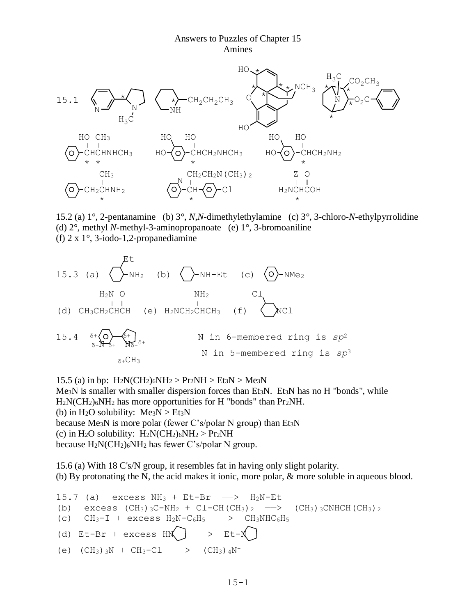## Answers to Puzzles of Chapter 15 Amines



15.2 (a) 1°, 2-pentanamine (b) 3°, *N*,*N*-dimethylethylamine (c) 3°, 3-chloro-*N*-ethylpyrrolidine (d) 2°, methyl *N*-methyl-3-aminopropanoate (e) 1°, 3-bromoaniline (f) 2 x 1°, 3-iodo-1,2-propanediamine

 Et 15.3 (a) -NH2 (b) -NH-Et (c) -NMe<sup>2</sup> H2N O NH2 Cl <sup>|</sup> ‖ <sup>|</sup> (d) CH3CH2CHCH (e) H2NCH2CHCH3 (f) NCl 15.4 δ<sup>+</sup> <sup>δ</sup>+ N in 6-membered ring is *sp*<sup>2</sup> <sup>δ</sup>-N δ+ Nδδ+ <sup>|</sup> N in 5-membered ring is *sp*<sup>3</sup> δ+CH<sup>3</sup>

15.5 (a) in bp:  $H_2N(CH_2)_6NH_2 > Pr_2NH > Et_3N > Me_3N$ Me<sub>3</sub>N is smaller with smaller dispersion forces than Et<sub>3</sub>N. Et<sub>3</sub>N has no H "bonds", while H<sub>2</sub>N(CH<sub>2</sub>)<sub>6</sub>NH<sub>2</sub> has more opportunities for H "bonds" than Pr<sub>2</sub>NH. (b) in H<sub>2</sub>O solubility:  $Me<sub>3</sub>N > Et<sub>3</sub>N$ because Me3N is more polar (fewer C's/polar N group) than Et3N (c) in H<sub>2</sub>O solubility:  $H_2N(CH_2)_6NH_2 > Pr_2NH$ because  $H_2N(CH_2)_6NH_2$  has fewer C's/polar N group.

15.6 (a) With 18 C's/N group, it resembles fat in having only slight polarity. (b) By protonating the N, the acid makes it ionic, more polar, & more soluble in aqueous blood.

```
15.7 (a) excess NH_3 + Et-Br \longrightarrow H<sub>2</sub>N-Et
(b) excess (CH_3)_{3}C-NH_2 + CL-CH(CH_3)_{2} \longrightarrow (CH_3)_{3}CNHCH(CH_3)_{2}(c) CH_3-I + excess H_2N-C_6H_5 -> CH_3NHC_6H_5(d) Et-Br + excess HN \rightarrow Et-N(e) (CH_3)_{3}N + CH_3-Cl \longrightarrow (CH_3)_{4}N^{+}
```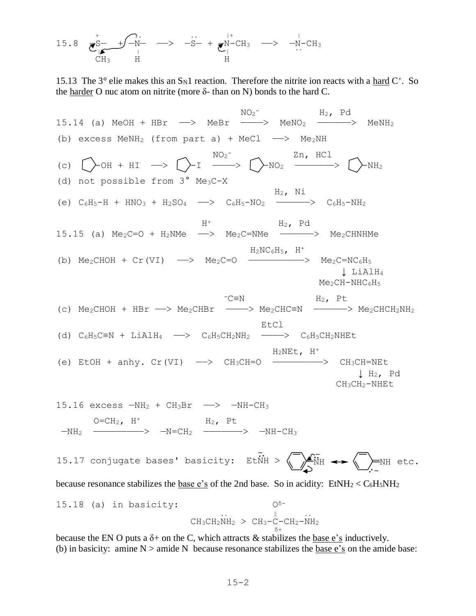15.8 
$$
\underbrace{\overline{\sigma}_{|A}^{S-} + \overline{\rho}_{N-}^{S-}}_{CH_3} \xrightarrow{+} \underbrace{\overline{\sigma}_{N}^{N-}}_{H} \xrightarrow{+} \underbrace{\overline{\sigma}_{N}^{N-}CH_3}_{H} \xrightarrow{+} \underbrace{\overline{\sigma}_{N-}^{N-}CH_3}_{H}
$$

15.13 The  $3^{\circ}$  elie makes this an S<sub>N</sub>1 reaction. Therefore the nitrite ion reacts with a hard C<sup>+</sup>. So the harder O nuc atom on nitrite (more δ- than on N) bonds to the hard C.

NO<sub>2</sub>  $NO<sub>2</sub>$ <sup>-</sup>  $H<sub>2</sub>$ , Pd 15.14 (a) MeOH + HBr  $\longrightarrow$  MeBr  $\longrightarrow$  MeNO<sub>2</sub>  $\longrightarrow$  MeNH<sub>2</sub> (b) excess MeNH<sub>2</sub> (from part a) + MeCl  $\longrightarrow$  Me<sub>2</sub>NH  $\sim$   $NO_2$ <sup>-</sup>  $\sim$   $2n$ , HCl (c)  $\left[\begin{array}{ccc} \end{array}\right]$  -OH + HI -->  $\left[\begin{array}{ccc} \end{array}\right]$  -I ---->  $\left[\begin{array}{ccc} \end{array}\right]$ -NO<sub>2</sub> ------>  $\left[\begin{array}{ccc} \end{array}\right]$ -NH<sub>2</sub> (d) not possible from  $3^\circ$  Me<sub>3</sub>C-X  $\rm H_2$ , Ni (e)  $C_6H_5-H + HNO_3 + H_2SO_4 \longrightarrow C_6H_5-NO_2 \longrightarrow C_6H_5-NH_2$  $H^+$  H<sub>2</sub>, Pd 15.15 (a)  $Me<sub>2</sub>C=O + H<sub>2</sub>NMe \longrightarrow Me<sub>2</sub>C=NMe \longrightarrow Me<sub>2</sub>CHNHMe$  $H_2NC_6H_5$ ,  $H^+$ (b)  $Me_2CHOH + Cr(VI) \longrightarrow Me_2C=O$  -------------->  $Me_2C=NC_6H_5$  ↓ LiAlH<sup>4</sup>  $Me<sub>2</sub>CH-NHC<sub>6</sub>H<sub>5</sub>$  $-c\equiv N$  H<sub>2</sub>, Pt (c)  $Me_2CHOH$  +  $HBr$   $\longrightarrow$   $Me_2CHBr$   $\longrightarrow$   $Me_2CHC=N$   $\longrightarrow$   $Me_2CHCH_2NH_2$ **EtCl** EtCl Book and the second second second second second second second second second second second second second second second second second second second second second second second second second second second second s (d)  $C_6H_5C\equiv N + LiAlH_4 \longrightarrow C_6H_5CH_2NH_2 \longrightarrow C_6H_5CH_2NH_2$  $H_2$ NEt,  $H^+$ (e) EtOH + anhy.  $Cr(VI) \longrightarrow CH_3CH=O \longrightarrow CH_3CH=-\longrightarrow CH_3CH=NE$  $\downarrow$  H<sub>2</sub>, Pd CH3CH2-NHEt 15.16 excess  $-MH_2$  +  $CH_3Br$   $\longrightarrow$   $-MH-CH_3$  $O=CH_2$ ,  $H^+$   $H_2$ , Pt  $-NH_2$  ———————>  $-N=CH_2$  ——————>  $-NH-CH_3$ 

15.17 conjugate bases' basicity: EtNH >  $\left\langle \overline{\phantom{a}}\right\rangle_{\!\!\!\rm NH}$   $\left\langle \overline{\phantom{a}}\right\rangle_{\!\!\!\rm NH}$  etc. ..

because resonance stabilizes the <u>base e's</u> of the 2nd base. So in acidity:  $EtNH_2 < C_6H_5NH_2$ 

15.18 (a) in basicity:  
\n
$$
\begin{array}{ccc}\n & & & \n\text{O}^5-\n\\ \n\text{CH}_3\text{CH}_2\text{NH}_2 > \text{CH}_3-\text{C}-\text{CH}_2-\text{NH}_2 \\
 & & & \n\text{O}^+ \\
 & & & \n\end{array}
$$

because the EN O puts a  $\delta$ + on the C, which attracts & stabilizes the base e's inductively. (b) in basicity: amine  $N >$  amide N because resonance stabilizes the base e's on the amide base: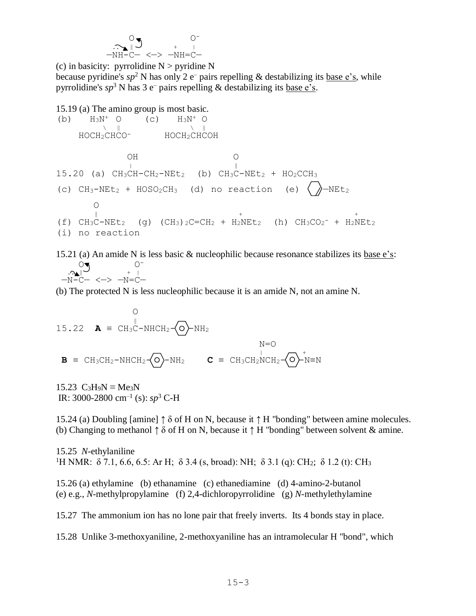$$
\begin{array}{c}\n\bigcirc \mathbb{S} \\
\hline\n\bigcirc \mathbb{S} \\
\hline\n-NH-C-\langle -\rangle \quad -NH=C-\n\end{array}
$$

(c) in basicity: pyrrolidine  $N >$  pyridine N because pyridine's  $sp^2$  N has only 2 e<sup>-</sup> pairs repelling & destabilizing its <u>base e's</u>, while pyrrolidine's  $sp^3$  N has 3 e<sup>-</sup> pairs repelling & destabilizing its <u>base e's</u>.

15.19 (a) The amino group is most basic. (b)  $H_3N^+$  O (c)  $H_3N^+$  O  $\begin{array}{ccccccc} \text{N} & \text{N} & \text{N} & \text{N} & \text{N} & \text{N} & \text{N} & \text{N} & \text{N} & \text{N} & \text{N} & \text{N} & \text{N} & \text{N} & \text{N} & \text{N} & \text{N} & \text{N} & \text{N} & \text{N} & \text{N} & \text{N} & \text{N} & \text{N} & \text{N} & \text{N} & \text{N} & \text{N} & \text{N} & \text{N} & \text{N} & \text{N} & \text{N} & \text{N} & \text{N} & \text$  HOCH2CHCO- HOCH2CHCOH  $\cap$ H  $\cap$  <sup>|</sup> ‖  $15.20$  (a)  $CH_3CH-CH_2-NEL_2$  (b)  $CH_3C-NEL_2$  +  $HO_2CCH_3$ (c)  $CH_3-NEt_2$  +  $HOSO_2CH_3$  (d) no reaction (e)  $\langle\rangle$ -NEt<sub>2</sub>  $\Omega$ 

 $\frac{1}{\sqrt{2}}$ (f)  $CH_3C-NEL_2$  (g)  $(CH_3)_{2}C=CH_2 + H_2NEL_2$  (h)  $CH_3CO_2^- + H_2NEL_2$ (i) no reaction

15.21 (a) An amide N is less basic & nucleophilic because resonance stabilizes its base e's:  $O\blacktriangledown$   $O^ \mathbb{C}$  +  $\mathbb{C}$ —N-C— <—> —N=C—

(b) The protected N is less nucleophilic because it is an amide N, not an amine N.

$$
\begin{array}{ll}\n & O \\
15.22 \quad \mathbf{A} \equiv \text{CH}_3\text{C}-\text{NHCH}_2-\text{\scriptsize O}\text{\scriptsize o}\text{\scriptsize -}\text{NH}_2 \\
\mathbf{B} \equiv \text{CH}_3\text{CH}_2-\text{NHCH}_2-\text{\scriptsize O}\text{\scriptsize o}\text{\scriptsize -}\text{NH}_2 \\
\mathbf{C} \equiv \text{CH}_3\text{CH}_2\text{NCH}_2-\text{\scriptsize O}\text{\scriptsize -}\text{NH}_2\n\end{array}
$$

15.23  $C_3H_9N \equiv Me_3N$ IR: 3000-2800 cm–1 (s): *sp*<sup>3</sup> C-H

15.24 (a) Doubling [amine]  $\uparrow \delta$  of H on N, because it  $\uparrow$  H "bonding" between amine molecules. (b) Changing to methanol  $\uparrow \delta$  of H on N, because it  $\uparrow$  H "bonding" between solvent & amine.

15.25 *N*-ethylaniline <sup>1</sup>H NMR: δ 7.1, 6.6, 6.5: Ar H; δ 3.4 (s, broad): NH; δ 3.1 (g): CH<sub>2</sub>; δ 1.2 (t): CH<sub>3</sub>

15.26 (a) ethylamine (b) ethanamine (c) ethanediamine (d) 4-amino-2-butanol (e) e.g., *N*-methylpropylamine (f) 2,4-dichloropyrrolidine (g) *N*-methylethylamine

15.27 The ammonium ion has no lone pair that freely inverts. Its 4 bonds stay in place.

15.28 Unlike 3-methoxyaniline, 2-methoxyaniline has an intramolecular H "bond", which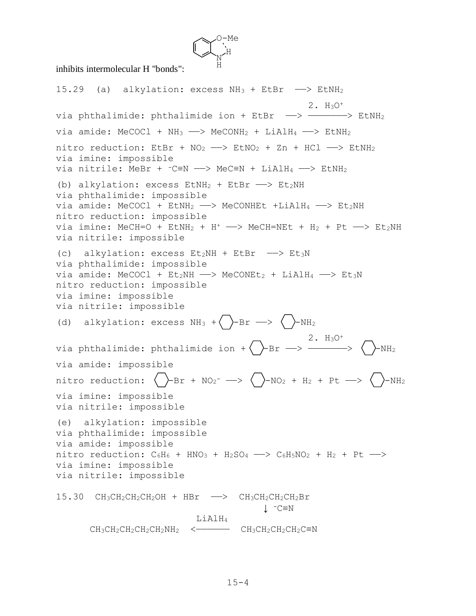

inhibits intermolecular H "bonds":

15.29 (a) alkylation: excess  $NH_3$  + EtBr  $\longrightarrow$  EtNH<sub>2</sub> 2. H3O<sup>+</sup> via phthalimide: phthalimide ion + EtBr  $\longrightarrow$  --------> EtNH<sub>2</sub> via amide: MeCOCl +  $NH_3 \longrightarrow$  MeCONH<sub>2</sub> + LiAlH<sub>4</sub> -  $\rightarrow$  EtNH<sub>2</sub> nitro reduction: EtBr +  $NO<sub>2</sub>$  -  $>$  EtNO<sub>2</sub> + Zn + HCl -  $>$  EtNH<sub>2</sub> via imine: impossible via nitrile: MeBr +  $-C=N \longrightarrow M e C \equiv N + LiA1H_4 \longrightarrow EtNH_2$ (b) alkylation: excess  $EtnH_2 + EtBr \longrightarrow Et_2NH$ via phthalimide: impossible via amide: MeCOCl +  $E$ tNH<sub>2</sub> - > MeCONHEt +LiAlH<sub>4</sub> - >  $E$ t<sub>2</sub>NH nitro reduction: impossible via imine:  $MeCH=O + EtNH<sub>2</sub> + H<sup>+</sup>$  ->  $MeCH=NEt + H<sub>2</sub> + Pt$  ->  $Et<sub>2</sub>NH$ via nitrile: impossible (c) alkylation: excess  $Et_2NH$  + EtBr  $\longrightarrow$  Et<sub>3</sub>N via phthalimide: impossible via amide: MeCOCl +  $Et_2NH \longrightarrow MeCONEt_2 + LiAlH_4 \longrightarrow Et_3N$ nitro reduction: impossible via imine: impossible via nitrile: impossible (d) alkylation: excess  $NH_3 + \sum -Br \longrightarrow \sum -NH_2$  $\sim$  2. H<sub>3</sub>O<sup>+</sup> via phthalimide: phthalimide ion +( )-Br --> ---------> ( )-NH<sub>2</sub> via amide: impossible nitro reduction:  $\langle$   $\rangle$ -Br + NO<sub>2</sub><sup>-</sup> -->  $\langle$   $\rangle$ -NO<sub>2</sub> + H<sub>2</sub> + Pt -->  $\langle$   $\rangle$ -NH<sub>2</sub> via imine: impossible via nitrile: impossible (e) alkylation: impossible via phthalimide: impossible via amide: impossible nitro reduction:  $C_6H_6$  + HNO<sub>3</sub> + H<sub>2</sub>SO<sub>4</sub> -->  $C_6H_5NO_2$  + H<sub>2</sub> + Pt --> via imine: impossible via nitrile: impossible 15.30 CH<sub>3</sub>CH<sub>2</sub>CH<sub>2</sub>CH<sub>2</sub>OH + HBr -> CH<sub>3</sub>CH<sub>2</sub>CH<sub>2</sub>CH<sub>2</sub>Br ↓ -C≡N LiAlH<sup>4</sup>  $CH_3CH_2CH_2CH_2CH_2NH_2$  <  $CH_3CH_2CH_2CH_2CH_2CH_2$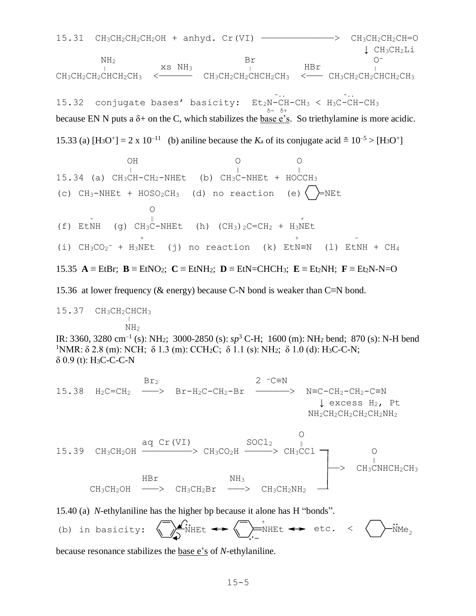$15.31$   $CH_3CH_2CH_2CH_2OH + anhyd.$   $Cr(VI)$   $\longrightarrow$   $CH_3CH_2CH_2CH=O$  ↓ CH3CH2Li  $NH<sub>2</sub>$  Br  $O<sup>-</sup>$  $\frac{1}{1}$  xs NH<sub>3</sub>  $\frac{1}{1}$  HBr  $\frac{1}{1}$  $CH_3CH_2CH_2CHCH_2CH_3$  <—————————  $CH_3CH_2CH_2CHCH_2CH_3$  <——  $CH_3CH_2CH_2CHCH_2CH_3$  $Et_2N-CH-CH_3 < H_3C-CH-CH_3$ 15.32 conjugate bases' basicity: Et<sub>2</sub>N-CH-CH<sub>3</sub> < H<sub>3</sub>C-CH-CH<sub>3</sub>  $\frac{1}{6}$  δ+  $\frac{1}{6}$  δ+ because EN N puts a  $\delta$ + on the C, which stabilizes the base e's. So triethylamine is more acidic. 15.33 (a)  $[H_3O^+] = 2 \times 10^{-11}$  (b) aniline because the  $K_a$  of its conjugate acid  $\approx 10^{-5} > [H_3O^+]$ 

\n
$$
0H
$$
\n

\n\n $0$ \n

\n\n $15.34$ \n

\n\n (a)  $CH_3CH-CH_2-NHEt$ \n

\n\n (b)  $CH_3C-NHEt + HOCCH_3$ \n

\n\n (c)  $CH_3-NHEt + HOSO_2CH_3$ \n

\n\n (d) no reaction\n

\n\n (e)  $\sum_{i=1}^{n}NEt$ \n

\n\n (f)  $EtNH$ \n

\n\n (g)  $CH_3C-NHEt$ \n

\n\n (h)  $(CH_3)_2C=CH_2 + H_3NEt$ \n

\n\n (i)  $CH_3CO_2^- + H_3NEt$ \n

\n\n (j) no reaction\n

\n\n (k)  $EtN=N$ \n

\n\n (l)  $EtNH + CH_4$ \n

\n\n (m)  $H_3NE$ \n

\n\n (o)  $H_3CH_2 + H_3NE$ \n

15.35 
$$
\mathbf{A} \equiv
$$
 EtBr;  $\mathbf{B} \equiv$ EtNO<sub>2</sub>;  $\mathbf{C} \equiv$ EtNH<sub>2</sub>;  $\mathbf{D} \equiv$ EtN=CHCH<sub>3</sub>;  $\mathbf{E} \equiv$ Et<sub>2</sub>NH;  $\mathbf{F} \equiv$ Et<sub>2</sub>N-N=O

15.36 at lower frequency (& energy) because C-N bond is weaker than C≡N bond.

$$
15.37 \quad CH_3CH_2CHCH_3
$$

 $NH<sub>2</sub>$ 

IR: 3360, 3280 cm–1 (s): NH2; 3000-2850 (s): *sp*<sup>3</sup> C-H; 1600 (m): NH<sup>2</sup> bend; 870 (s): N-H bend <sup>1</sup>NMR: δ 2.8 (m): NCH; δ 1.3 (m): CCH<sub>2</sub>C; δ 1.1 (s): NH<sub>2</sub>; δ 1.0 (d): H<sub>3</sub>C-C-N; δ 0.9 (t): H3C-C-C-N

15.38 
$$
H_2C = CH_2
$$
  $H_2C = CH_2$   $Br - H_2C - CH_2 - Br$   $N = C - CH_2 - CH_2 - CH_2 - C = N$   $\downarrow$  excess  $H_2$ ,  $Pt$   $NH_2CH_2CH_2CH_2CH_2NH_2$ 

$$
\begin{array}{ccccccc}\n & \text{aq Cr(VI)} & & \text{Socl}_2 & & & \\
\text{eq Cr}_3CH_2OH & & & \text{CH}_3CO_2H & & & \text{CH}_3CCl & & \\
 & & \text{HBr} & & \text{NH}_3 & & \\
 & \text{CH}_3CH_2OH & & & \text{CH}_3CH_2Br & & & \\
\end{array}
$$

15.40 (a) *N*-ethylaniline has the higher bp because it alone has H "bonds".

(b) in basicity: 
$$
\bigcirc
$$
  $\bigcirc$   $\bigcirc$   $\bigcirc$   $\bigcirc$   $\bigcirc$   $\bigcirc$   $\bigcirc$   $\bigcirc$   $\bigcirc$   $\bigcirc$   $\bigcirc$   $\bigcirc$   $\bigcirc$   $\bigcirc$   $\bigcirc$   $\bigcirc$   $\bigcirc$   $\bigcirc$   $\bigcirc$   $\bigcirc$   $\bigcirc$   $\bigcirc$   $\bigcirc$   $\bigcirc$   $\bigcirc$   $\bigcirc$   $\bigcirc$   $\bigcirc$   $\bigcirc$   $\bigcirc$   $\bigcirc$   $\bigcirc$   $\bigcirc$   $\bigcirc$   $\bigcirc$   $\bigcirc$   $\bigcirc$   $\bigcirc$   $\bigcirc$   $\bigcirc$   $\bigcirc$   $\bigcirc$   $\bigcirc$   $\bigcirc$   $\bigcirc$   $\bigcirc$   $\bigcirc$   $\bigcirc$   $\bigcirc$   $\bigcirc$   $\bigcirc$   $\bigcirc$   $\bigcirc$   $\bigcirc$   $\bigcirc$   $\bigcirc$   $\bigcirc$   $\bigcirc$   $\bigcirc$   $\bigcirc$   $\bigcirc$   $\bigcirc$   $\bigcirc$   $\bigcirc$   $\bigcirc$   $\bigcirc$   $\bigcirc$   $\bigcirc$   $\bigcirc$   $\bigcirc$   $\bigcirc$   $\bigcirc$   $\bigcirc$   $\bigcirc$   $\bigcirc$   $\bigcirc$   $\bigcirc$   $\bigcirc$   $\bigcirc$   $\bigcirc$   $\bigcirc$   $\bigcirc$   $\bigcirc$   $\bigcirc$   $\bigcirc$   $\bigcirc$   $\bigcirc$   $\bigcirc$   $\bigcirc$   $\bigcirc$   $\bigcirc$   $\bigcirc$   $\bigcirc$   $\bigcirc$ 

because resonance stabilizes the base e's of *N*-ethylaniline.